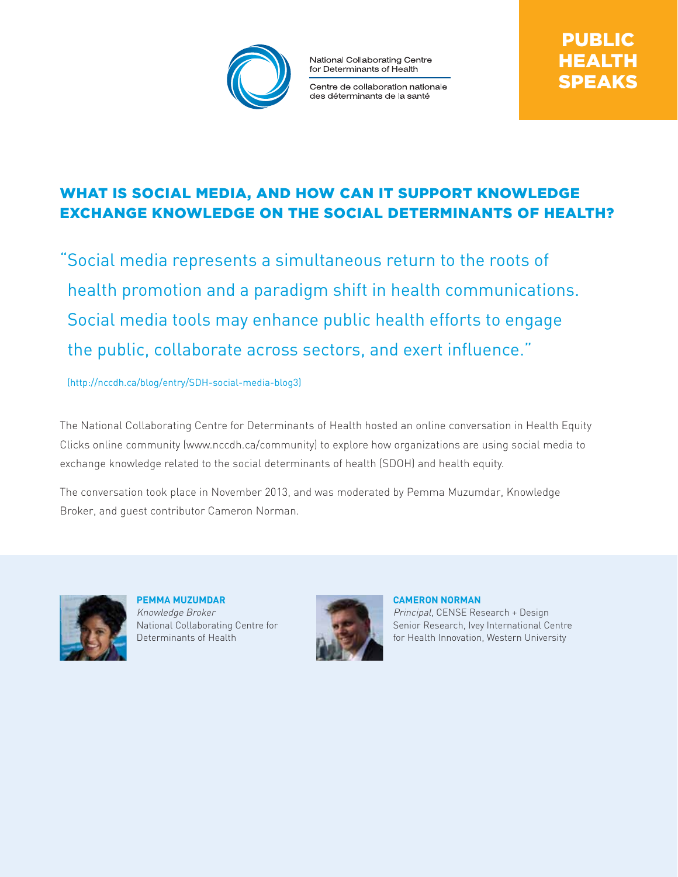

National Collaborating Centre for Determinants of Health

Centre de collaboration nationale des déterminants de la santé

# WHAT IS SOCIAL MEDIA, AND HOW CAN IT SUPPORT KNOWLEDGE exchange knowledge on the social determinants of health?

"Social media represents a simultaneous return to the roots of health promotion and a paradigm shift in health communications. Social media tools may enhance public health efforts to engage the public, collaborate across sectors, and exert influence."

(http://nccdh.ca/blog/entry/SDH-social-media-blog3)

The National Collaborating Centre for Determinants of Health hosted an online conversation in Health Equity Clicks online community (www.nccdh.ca/community) to explore how organizations are using social media to exchange knowledge related to the social determinants of health (SDOH) and health equity.

The conversation took place in November 2013, and was moderated by Pemma Muzumdar, Knowledge Broker, and guest contributor Cameron Norman.



**Pemma Muzumdar** Knowledge Broker National Collaborating Centre for Determinants of Health



**Cameron Norman** Principal, CENSE Research + Design Senior Research, Ivey International Centre for Health Innovation, Western University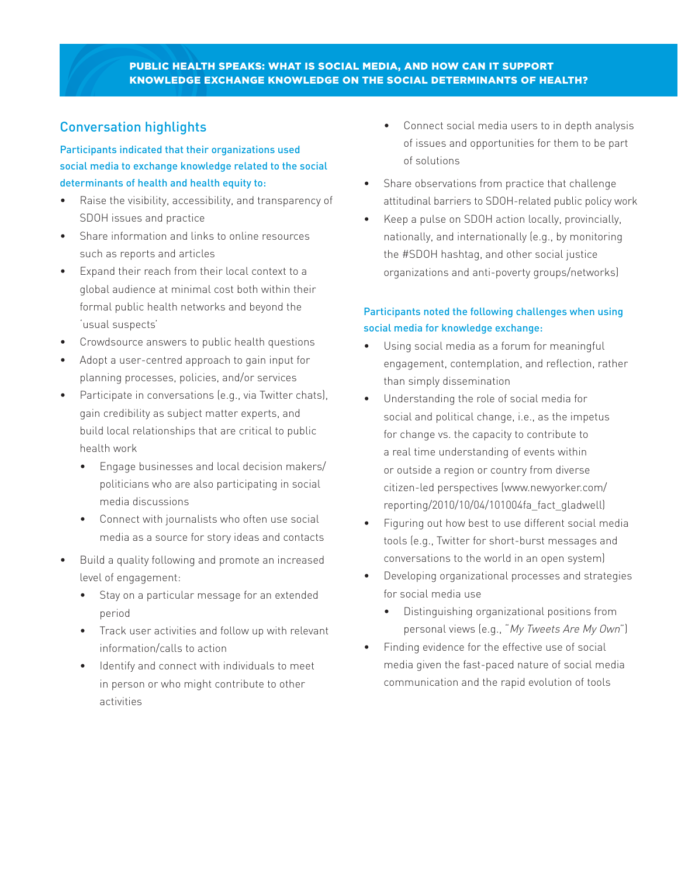### Public Health Speaks: What is social media, and how can it support knowledge exchange knowledge on the social determinants of health?

# Conversation highlights

## Participants indicated that their organizations used social media to exchange knowledge related to the social determinants of health and health equity to:

- Raise the visibility, accessibility, and transparency of SDOH issues and practice
- Share information and links to online resources such as reports and articles
- Expand their reach from their local context to a global audience at minimal cost both within their formal public health networks and beyond the 'usual suspects'
- Crowdsource answers to public health questions
- Adopt a user-centred approach to gain input for planning processes, policies, and/or services
- Participate in conversations (e.g., via Twitter chats), gain credibility as subject matter experts, and build local relationships that are critical to public health work
	- Engage businesses and local decision makers/ politicians who are also participating in social media discussions
	- Connect with journalists who often use social media as a source for story ideas and contacts
- Build a quality following and promote an increased level of engagement:
	- Stay on a particular message for an extended period
	- Track user activities and follow up with relevant information/calls to action
	- Identify and connect with individuals to meet in person or who might contribute to other activities
- Connect social media users to in depth analysis of issues and opportunities for them to be part of solutions
- Share observations from practice that challenge attitudinal barriers to SDOH-related public policy work
- Keep a pulse on SDOH action locally, provincially, nationally, and internationally (e.g., by monitoring the #SDOH hashtag, and other social justice organizations and anti-poverty groups/networks)

### Participants noted the following challenges when using social media for knowledge exchange:

- Using social media as a forum for meaningful engagement, contemplation, and reflection, rather than simply dissemination
- Understanding the role of social media for social and political change, i.e., as the impetus for change vs. the capacity to contribute to a real time understanding of events within or outside a region or country from diverse citizen-led perspectives (www.newyorker.com/ reporting/2010/10/04/101004fa\_fact\_gladwell)
- Figuring out how best to use different social media tools (e.g., Twitter for short-burst messages and conversations to the world in an open system)
- Developing organizational processes and strategies for social media use
	- Distinguishing organizational positions from personal views (e.g., "My Tweets Are My Own")
- Finding evidence for the effective use of social media given the fast-paced nature of social media communication and the rapid evolution of tools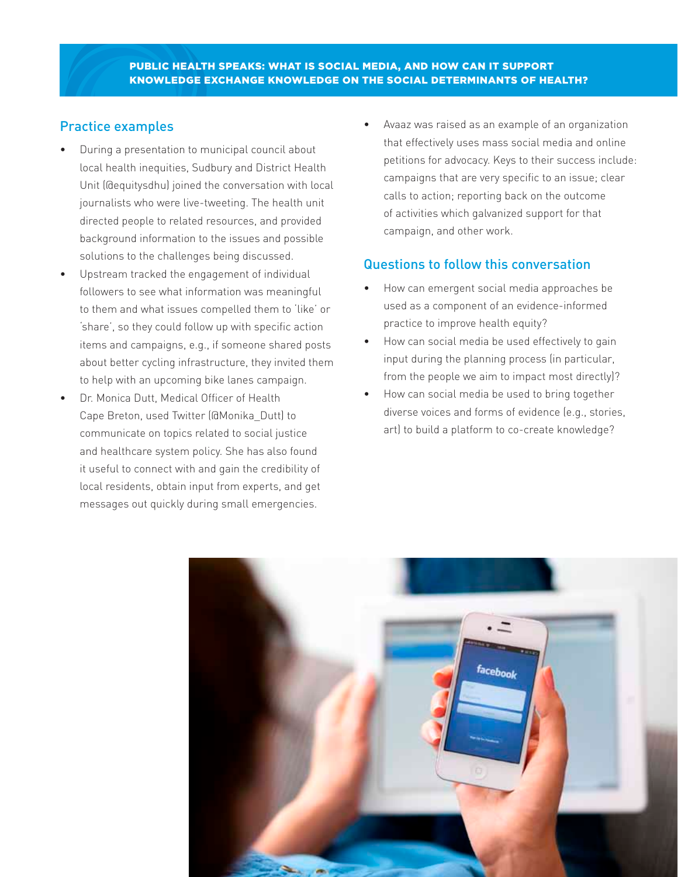# Practice examples

- During a presentation to municipal council about local health inequities, Sudbury and District Health Unit (@equitysdhu) joined the conversation with local journalists who were live-tweeting. The health unit directed people to related resources, and provided background information to the issues and possible solutions to the challenges being discussed.
- Upstream tracked the engagement of individual followers to see what information was meaningful to them and what issues compelled them to 'like' or 'share', so they could follow up with specific action items and campaigns, e.g., if someone shared posts about better cycling infrastructure, they invited them to help with an upcoming bike lanes campaign.
- Dr. Monica Dutt, Medical Officer of Health Cape Breton, used Twitter (@Monika\_Dutt) to communicate on topics related to social justice and healthcare system policy. She has also found it useful to connect with and gain the credibility of local residents, obtain input from experts, and get messages out quickly during small emergencies.

• Avaaz was raised as an example of an organization that effectively uses mass social media and online petitions for advocacy. Keys to their success include: campaigns that are very specific to an issue; clear calls to action; reporting back on the outcome of activities which galvanized support for that campaign, and other work.

# Questions to follow this conversation

- How can emergent social media approaches be used as a component of an evidence-informed practice to improve health equity?
- How can social media be used effectively to gain input during the planning process (in particular, from the people we aim to impact most directly)?
- How can social media be used to bring together diverse voices and forms of evidence (e.g., stories, art) to build a platform to co-create knowledge?